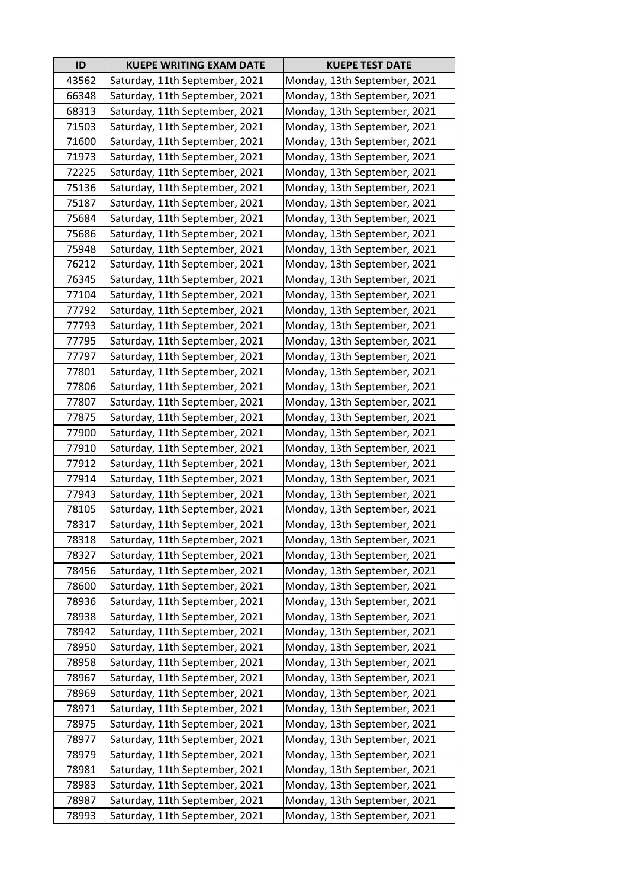| ID    | <b>KUEPE WRITING EXAM DATE</b> | <b>KUEPE TEST DATE</b>       |
|-------|--------------------------------|------------------------------|
| 43562 | Saturday, 11th September, 2021 | Monday, 13th September, 2021 |
| 66348 | Saturday, 11th September, 2021 | Monday, 13th September, 2021 |
| 68313 | Saturday, 11th September, 2021 | Monday, 13th September, 2021 |
| 71503 | Saturday, 11th September, 2021 | Monday, 13th September, 2021 |
| 71600 | Saturday, 11th September, 2021 | Monday, 13th September, 2021 |
| 71973 | Saturday, 11th September, 2021 | Monday, 13th September, 2021 |
| 72225 | Saturday, 11th September, 2021 | Monday, 13th September, 2021 |
| 75136 | Saturday, 11th September, 2021 | Monday, 13th September, 2021 |
| 75187 | Saturday, 11th September, 2021 | Monday, 13th September, 2021 |
| 75684 | Saturday, 11th September, 2021 | Monday, 13th September, 2021 |
| 75686 | Saturday, 11th September, 2021 | Monday, 13th September, 2021 |
| 75948 | Saturday, 11th September, 2021 | Monday, 13th September, 2021 |
| 76212 | Saturday, 11th September, 2021 | Monday, 13th September, 2021 |
| 76345 | Saturday, 11th September, 2021 | Monday, 13th September, 2021 |
| 77104 | Saturday, 11th September, 2021 | Monday, 13th September, 2021 |
| 77792 | Saturday, 11th September, 2021 | Monday, 13th September, 2021 |
| 77793 | Saturday, 11th September, 2021 | Monday, 13th September, 2021 |
| 77795 | Saturday, 11th September, 2021 | Monday, 13th September, 2021 |
| 77797 | Saturday, 11th September, 2021 | Monday, 13th September, 2021 |
| 77801 | Saturday, 11th September, 2021 | Monday, 13th September, 2021 |
| 77806 | Saturday, 11th September, 2021 | Monday, 13th September, 2021 |
| 77807 | Saturday, 11th September, 2021 | Monday, 13th September, 2021 |
| 77875 | Saturday, 11th September, 2021 | Monday, 13th September, 2021 |
| 77900 | Saturday, 11th September, 2021 | Monday, 13th September, 2021 |
| 77910 | Saturday, 11th September, 2021 | Monday, 13th September, 2021 |
| 77912 | Saturday, 11th September, 2021 | Monday, 13th September, 2021 |
| 77914 | Saturday, 11th September, 2021 | Monday, 13th September, 2021 |
| 77943 | Saturday, 11th September, 2021 | Monday, 13th September, 2021 |
| 78105 | Saturday, 11th September, 2021 | Monday, 13th September, 2021 |
| 78317 | Saturday, 11th September, 2021 | Monday, 13th September, 2021 |
| 78318 | Saturday, 11th September, 2021 | Monday, 13th September, 2021 |
| 78327 | Saturday, 11th September, 2021 | Monday, 13th September, 2021 |
| 78456 | Saturday, 11th September, 2021 | Monday, 13th September, 2021 |
| 78600 | Saturday, 11th September, 2021 | Monday, 13th September, 2021 |
| 78936 | Saturday, 11th September, 2021 | Monday, 13th September, 2021 |
| 78938 | Saturday, 11th September, 2021 | Monday, 13th September, 2021 |
| 78942 | Saturday, 11th September, 2021 | Monday, 13th September, 2021 |
| 78950 | Saturday, 11th September, 2021 | Monday, 13th September, 2021 |
| 78958 | Saturday, 11th September, 2021 | Monday, 13th September, 2021 |
| 78967 | Saturday, 11th September, 2021 | Monday, 13th September, 2021 |
| 78969 | Saturday, 11th September, 2021 | Monday, 13th September, 2021 |
| 78971 | Saturday, 11th September, 2021 | Monday, 13th September, 2021 |
| 78975 | Saturday, 11th September, 2021 | Monday, 13th September, 2021 |
| 78977 | Saturday, 11th September, 2021 | Monday, 13th September, 2021 |
| 78979 | Saturday, 11th September, 2021 | Monday, 13th September, 2021 |
| 78981 | Saturday, 11th September, 2021 | Monday, 13th September, 2021 |
| 78983 | Saturday, 11th September, 2021 | Monday, 13th September, 2021 |
| 78987 | Saturday, 11th September, 2021 | Monday, 13th September, 2021 |
| 78993 | Saturday, 11th September, 2021 | Monday, 13th September, 2021 |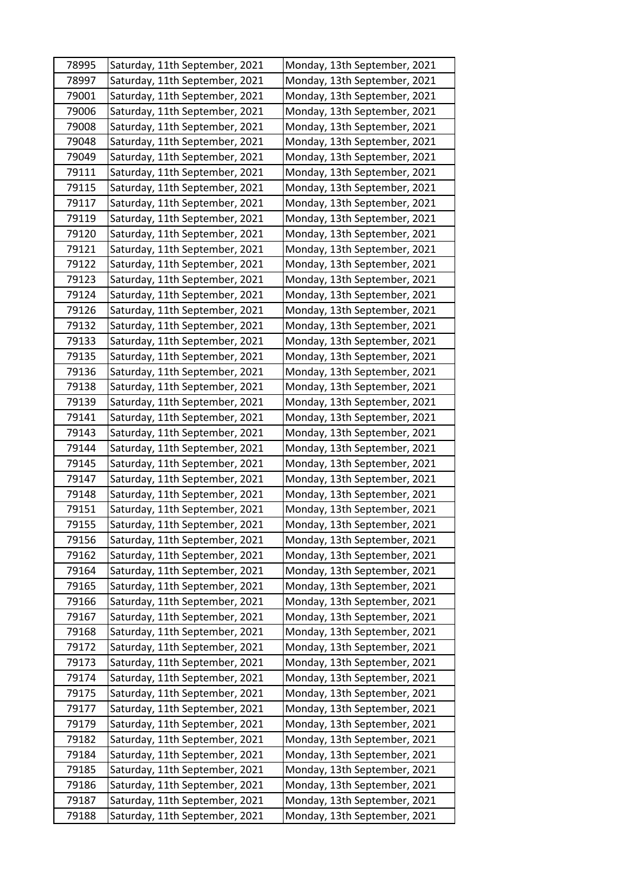| 78995 | Saturday, 11th September, 2021 | Monday, 13th September, 2021 |
|-------|--------------------------------|------------------------------|
| 78997 | Saturday, 11th September, 2021 | Monday, 13th September, 2021 |
| 79001 | Saturday, 11th September, 2021 | Monday, 13th September, 2021 |
| 79006 | Saturday, 11th September, 2021 | Monday, 13th September, 2021 |
| 79008 | Saturday, 11th September, 2021 | Monday, 13th September, 2021 |
| 79048 | Saturday, 11th September, 2021 | Monday, 13th September, 2021 |
| 79049 | Saturday, 11th September, 2021 | Monday, 13th September, 2021 |
| 79111 | Saturday, 11th September, 2021 | Monday, 13th September, 2021 |
| 79115 | Saturday, 11th September, 2021 | Monday, 13th September, 2021 |
| 79117 | Saturday, 11th September, 2021 | Monday, 13th September, 2021 |
| 79119 | Saturday, 11th September, 2021 | Monday, 13th September, 2021 |
| 79120 | Saturday, 11th September, 2021 | Monday, 13th September, 2021 |
| 79121 | Saturday, 11th September, 2021 | Monday, 13th September, 2021 |
| 79122 | Saturday, 11th September, 2021 | Monday, 13th September, 2021 |
| 79123 | Saturday, 11th September, 2021 | Monday, 13th September, 2021 |
| 79124 | Saturday, 11th September, 2021 | Monday, 13th September, 2021 |
| 79126 | Saturday, 11th September, 2021 | Monday, 13th September, 2021 |
| 79132 | Saturday, 11th September, 2021 | Monday, 13th September, 2021 |
| 79133 | Saturday, 11th September, 2021 | Monday, 13th September, 2021 |
| 79135 | Saturday, 11th September, 2021 | Monday, 13th September, 2021 |
| 79136 | Saturday, 11th September, 2021 | Monday, 13th September, 2021 |
| 79138 | Saturday, 11th September, 2021 | Monday, 13th September, 2021 |
| 79139 | Saturday, 11th September, 2021 | Monday, 13th September, 2021 |
| 79141 | Saturday, 11th September, 2021 | Monday, 13th September, 2021 |
| 79143 | Saturday, 11th September, 2021 | Monday, 13th September, 2021 |
| 79144 | Saturday, 11th September, 2021 | Monday, 13th September, 2021 |
| 79145 | Saturday, 11th September, 2021 | Monday, 13th September, 2021 |
| 79147 | Saturday, 11th September, 2021 | Monday, 13th September, 2021 |
| 79148 | Saturday, 11th September, 2021 | Monday, 13th September, 2021 |
| 79151 | Saturday, 11th September, 2021 | Monday, 13th September, 2021 |
| 79155 | Saturday, 11th September, 2021 | Monday, 13th September, 2021 |
| 79156 | Saturday, 11th September, 2021 | Monday, 13th September, 2021 |
| 79162 | Saturday, 11th September, 2021 | Monday, 13th September, 2021 |
| 79164 | Saturday, 11th September, 2021 | Monday, 13th September, 2021 |
| 79165 | Saturday, 11th September, 2021 | Monday, 13th September, 2021 |
| 79166 | Saturday, 11th September, 2021 | Monday, 13th September, 2021 |
| 79167 | Saturday, 11th September, 2021 | Monday, 13th September, 2021 |
| 79168 | Saturday, 11th September, 2021 | Monday, 13th September, 2021 |
| 79172 | Saturday, 11th September, 2021 | Monday, 13th September, 2021 |
| 79173 | Saturday, 11th September, 2021 | Monday, 13th September, 2021 |
| 79174 | Saturday, 11th September, 2021 | Monday, 13th September, 2021 |
| 79175 | Saturday, 11th September, 2021 | Monday, 13th September, 2021 |
| 79177 | Saturday, 11th September, 2021 | Monday, 13th September, 2021 |
| 79179 | Saturday, 11th September, 2021 | Monday, 13th September, 2021 |
| 79182 | Saturday, 11th September, 2021 | Monday, 13th September, 2021 |
| 79184 | Saturday, 11th September, 2021 | Monday, 13th September, 2021 |
| 79185 | Saturday, 11th September, 2021 | Monday, 13th September, 2021 |
| 79186 | Saturday, 11th September, 2021 | Monday, 13th September, 2021 |
| 79187 | Saturday, 11th September, 2021 | Monday, 13th September, 2021 |
| 79188 | Saturday, 11th September, 2021 | Monday, 13th September, 2021 |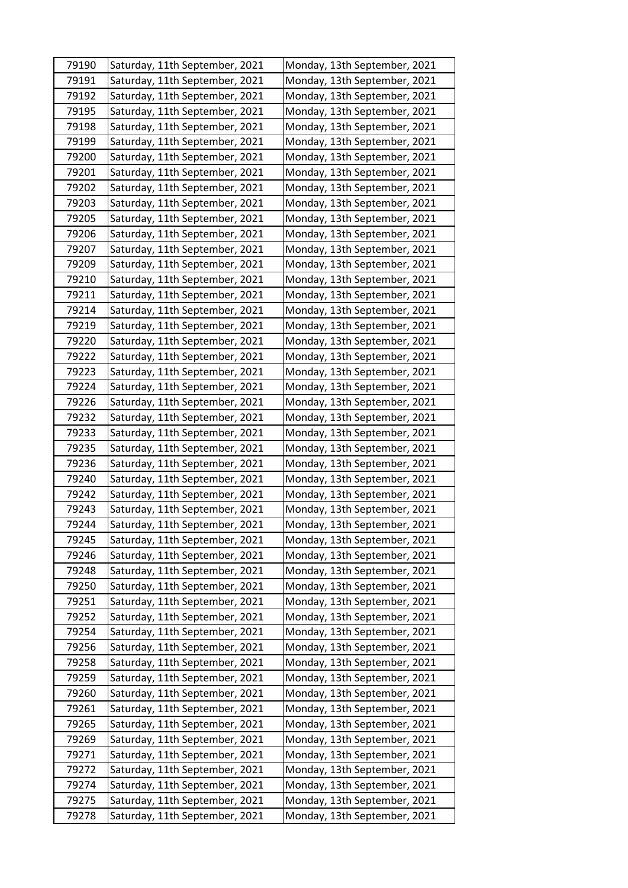| 79190 | Saturday, 11th September, 2021 | Monday, 13th September, 2021 |
|-------|--------------------------------|------------------------------|
| 79191 | Saturday, 11th September, 2021 | Monday, 13th September, 2021 |
| 79192 | Saturday, 11th September, 2021 | Monday, 13th September, 2021 |
| 79195 | Saturday, 11th September, 2021 | Monday, 13th September, 2021 |
| 79198 | Saturday, 11th September, 2021 | Monday, 13th September, 2021 |
| 79199 | Saturday, 11th September, 2021 | Monday, 13th September, 2021 |
| 79200 | Saturday, 11th September, 2021 | Monday, 13th September, 2021 |
| 79201 | Saturday, 11th September, 2021 | Monday, 13th September, 2021 |
| 79202 | Saturday, 11th September, 2021 | Monday, 13th September, 2021 |
| 79203 | Saturday, 11th September, 2021 | Monday, 13th September, 2021 |
| 79205 | Saturday, 11th September, 2021 | Monday, 13th September, 2021 |
| 79206 | Saturday, 11th September, 2021 | Monday, 13th September, 2021 |
| 79207 | Saturday, 11th September, 2021 | Monday, 13th September, 2021 |
| 79209 | Saturday, 11th September, 2021 | Monday, 13th September, 2021 |
| 79210 | Saturday, 11th September, 2021 | Monday, 13th September, 2021 |
| 79211 | Saturday, 11th September, 2021 | Monday, 13th September, 2021 |
| 79214 | Saturday, 11th September, 2021 | Monday, 13th September, 2021 |
| 79219 | Saturday, 11th September, 2021 | Monday, 13th September, 2021 |
| 79220 | Saturday, 11th September, 2021 | Monday, 13th September, 2021 |
| 79222 | Saturday, 11th September, 2021 | Monday, 13th September, 2021 |
| 79223 | Saturday, 11th September, 2021 | Monday, 13th September, 2021 |
| 79224 | Saturday, 11th September, 2021 | Monday, 13th September, 2021 |
| 79226 | Saturday, 11th September, 2021 | Monday, 13th September, 2021 |
| 79232 | Saturday, 11th September, 2021 | Monday, 13th September, 2021 |
| 79233 | Saturday, 11th September, 2021 | Monday, 13th September, 2021 |
| 79235 | Saturday, 11th September, 2021 | Monday, 13th September, 2021 |
| 79236 | Saturday, 11th September, 2021 | Monday, 13th September, 2021 |
| 79240 | Saturday, 11th September, 2021 | Monday, 13th September, 2021 |
| 79242 | Saturday, 11th September, 2021 | Monday, 13th September, 2021 |
| 79243 | Saturday, 11th September, 2021 | Monday, 13th September, 2021 |
| 79244 | Saturday, 11th September, 2021 | Monday, 13th September, 2021 |
| 79245 | Saturday, 11th September, 2021 | Monday, 13th September, 2021 |
| 79246 | Saturday, 11th September, 2021 | Monday, 13th September, 2021 |
| 79248 | Saturday, 11th September, 2021 | Monday, 13th September, 2021 |
| 79250 | Saturday, 11th September, 2021 | Monday, 13th September, 2021 |
| 79251 | Saturday, 11th September, 2021 | Monday, 13th September, 2021 |
| 79252 | Saturday, 11th September, 2021 | Monday, 13th September, 2021 |
| 79254 | Saturday, 11th September, 2021 | Monday, 13th September, 2021 |
| 79256 | Saturday, 11th September, 2021 | Monday, 13th September, 2021 |
| 79258 | Saturday, 11th September, 2021 | Monday, 13th September, 2021 |
| 79259 | Saturday, 11th September, 2021 | Monday, 13th September, 2021 |
| 79260 | Saturday, 11th September, 2021 | Monday, 13th September, 2021 |
| 79261 | Saturday, 11th September, 2021 | Monday, 13th September, 2021 |
| 79265 | Saturday, 11th September, 2021 | Monday, 13th September, 2021 |
| 79269 | Saturday, 11th September, 2021 | Monday, 13th September, 2021 |
| 79271 | Saturday, 11th September, 2021 | Monday, 13th September, 2021 |
| 79272 | Saturday, 11th September, 2021 | Monday, 13th September, 2021 |
| 79274 | Saturday, 11th September, 2021 | Monday, 13th September, 2021 |
| 79275 | Saturday, 11th September, 2021 | Monday, 13th September, 2021 |
| 79278 | Saturday, 11th September, 2021 | Monday, 13th September, 2021 |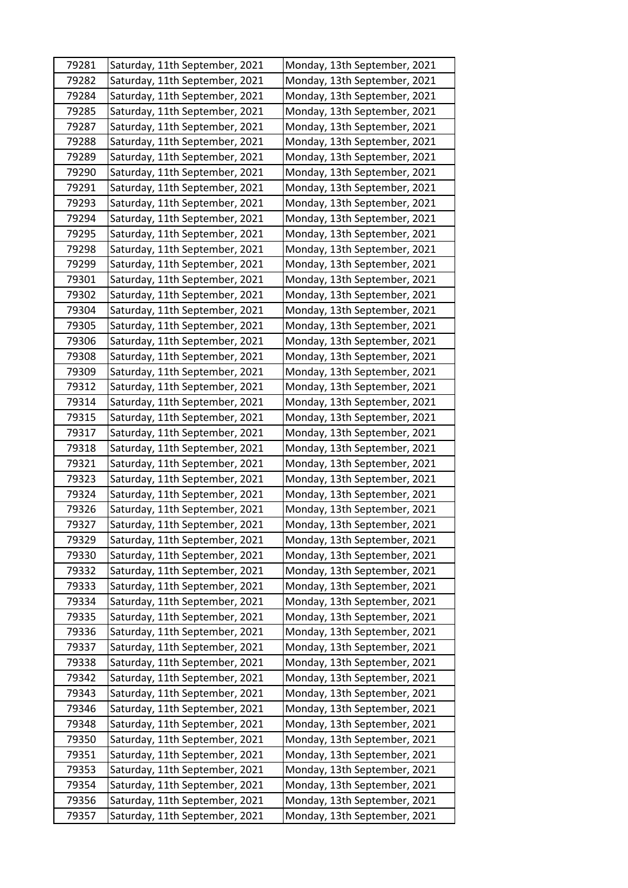| 79281 | Saturday, 11th September, 2021 | Monday, 13th September, 2021 |
|-------|--------------------------------|------------------------------|
| 79282 | Saturday, 11th September, 2021 | Monday, 13th September, 2021 |
| 79284 | Saturday, 11th September, 2021 | Monday, 13th September, 2021 |
| 79285 | Saturday, 11th September, 2021 | Monday, 13th September, 2021 |
| 79287 | Saturday, 11th September, 2021 | Monday, 13th September, 2021 |
| 79288 | Saturday, 11th September, 2021 | Monday, 13th September, 2021 |
| 79289 | Saturday, 11th September, 2021 | Monday, 13th September, 2021 |
| 79290 | Saturday, 11th September, 2021 | Monday, 13th September, 2021 |
| 79291 | Saturday, 11th September, 2021 | Monday, 13th September, 2021 |
| 79293 | Saturday, 11th September, 2021 | Monday, 13th September, 2021 |
| 79294 | Saturday, 11th September, 2021 | Monday, 13th September, 2021 |
| 79295 | Saturday, 11th September, 2021 | Monday, 13th September, 2021 |
| 79298 | Saturday, 11th September, 2021 | Monday, 13th September, 2021 |
| 79299 | Saturday, 11th September, 2021 | Monday, 13th September, 2021 |
| 79301 | Saturday, 11th September, 2021 | Monday, 13th September, 2021 |
| 79302 | Saturday, 11th September, 2021 | Monday, 13th September, 2021 |
| 79304 | Saturday, 11th September, 2021 | Monday, 13th September, 2021 |
| 79305 | Saturday, 11th September, 2021 | Monday, 13th September, 2021 |
| 79306 | Saturday, 11th September, 2021 | Monday, 13th September, 2021 |
| 79308 | Saturday, 11th September, 2021 | Monday, 13th September, 2021 |
| 79309 | Saturday, 11th September, 2021 | Monday, 13th September, 2021 |
| 79312 | Saturday, 11th September, 2021 | Monday, 13th September, 2021 |
| 79314 | Saturday, 11th September, 2021 | Monday, 13th September, 2021 |
| 79315 | Saturday, 11th September, 2021 | Monday, 13th September, 2021 |
| 79317 | Saturday, 11th September, 2021 | Monday, 13th September, 2021 |
| 79318 | Saturday, 11th September, 2021 | Monday, 13th September, 2021 |
| 79321 | Saturday, 11th September, 2021 | Monday, 13th September, 2021 |
| 79323 | Saturday, 11th September, 2021 | Monday, 13th September, 2021 |
| 79324 | Saturday, 11th September, 2021 | Monday, 13th September, 2021 |
| 79326 | Saturday, 11th September, 2021 | Monday, 13th September, 2021 |
| 79327 | Saturday, 11th September, 2021 | Monday, 13th September, 2021 |
| 79329 | Saturday, 11th September, 2021 | Monday, 13th September, 2021 |
| 79330 | Saturday, 11th September, 2021 | Monday, 13th September, 2021 |
| 79332 | Saturday, 11th September, 2021 | Monday, 13th September, 2021 |
| 79333 | Saturday, 11th September, 2021 | Monday, 13th September, 2021 |
| 79334 | Saturday, 11th September, 2021 | Monday, 13th September, 2021 |
| 79335 | Saturday, 11th September, 2021 | Monday, 13th September, 2021 |
| 79336 | Saturday, 11th September, 2021 | Monday, 13th September, 2021 |
| 79337 | Saturday, 11th September, 2021 | Monday, 13th September, 2021 |
| 79338 | Saturday, 11th September, 2021 | Monday, 13th September, 2021 |
| 79342 | Saturday, 11th September, 2021 | Monday, 13th September, 2021 |
| 79343 | Saturday, 11th September, 2021 | Monday, 13th September, 2021 |
| 79346 | Saturday, 11th September, 2021 | Monday, 13th September, 2021 |
| 79348 | Saturday, 11th September, 2021 | Monday, 13th September, 2021 |
| 79350 | Saturday, 11th September, 2021 | Monday, 13th September, 2021 |
| 79351 | Saturday, 11th September, 2021 | Monday, 13th September, 2021 |
| 79353 | Saturday, 11th September, 2021 | Monday, 13th September, 2021 |
| 79354 | Saturday, 11th September, 2021 | Monday, 13th September, 2021 |
| 79356 | Saturday, 11th September, 2021 | Monday, 13th September, 2021 |
| 79357 | Saturday, 11th September, 2021 | Monday, 13th September, 2021 |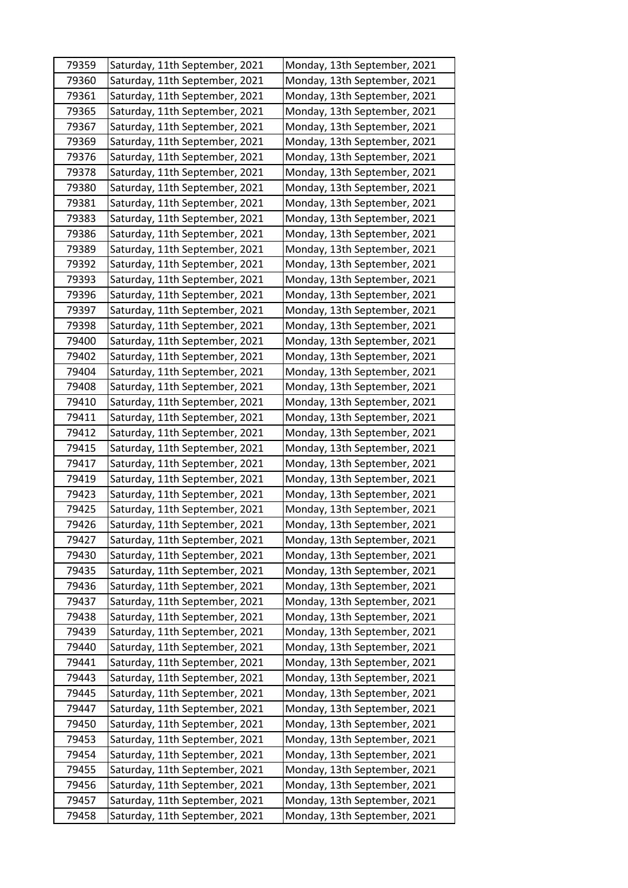| 79359 | Saturday, 11th September, 2021 | Monday, 13th September, 2021 |
|-------|--------------------------------|------------------------------|
| 79360 | Saturday, 11th September, 2021 | Monday, 13th September, 2021 |
| 79361 | Saturday, 11th September, 2021 | Monday, 13th September, 2021 |
| 79365 | Saturday, 11th September, 2021 | Monday, 13th September, 2021 |
| 79367 | Saturday, 11th September, 2021 | Monday, 13th September, 2021 |
| 79369 | Saturday, 11th September, 2021 | Monday, 13th September, 2021 |
| 79376 | Saturday, 11th September, 2021 | Monday, 13th September, 2021 |
| 79378 | Saturday, 11th September, 2021 | Monday, 13th September, 2021 |
| 79380 | Saturday, 11th September, 2021 | Monday, 13th September, 2021 |
| 79381 | Saturday, 11th September, 2021 | Monday, 13th September, 2021 |
| 79383 | Saturday, 11th September, 2021 | Monday, 13th September, 2021 |
| 79386 | Saturday, 11th September, 2021 | Monday, 13th September, 2021 |
| 79389 | Saturday, 11th September, 2021 | Monday, 13th September, 2021 |
| 79392 | Saturday, 11th September, 2021 | Monday, 13th September, 2021 |
| 79393 | Saturday, 11th September, 2021 | Monday, 13th September, 2021 |
| 79396 | Saturday, 11th September, 2021 | Monday, 13th September, 2021 |
| 79397 | Saturday, 11th September, 2021 | Monday, 13th September, 2021 |
| 79398 | Saturday, 11th September, 2021 | Monday, 13th September, 2021 |
| 79400 | Saturday, 11th September, 2021 | Monday, 13th September, 2021 |
| 79402 | Saturday, 11th September, 2021 | Monday, 13th September, 2021 |
| 79404 | Saturday, 11th September, 2021 | Monday, 13th September, 2021 |
| 79408 | Saturday, 11th September, 2021 | Monday, 13th September, 2021 |
| 79410 | Saturday, 11th September, 2021 | Monday, 13th September, 2021 |
| 79411 | Saturday, 11th September, 2021 | Monday, 13th September, 2021 |
| 79412 | Saturday, 11th September, 2021 | Monday, 13th September, 2021 |
| 79415 | Saturday, 11th September, 2021 | Monday, 13th September, 2021 |
| 79417 | Saturday, 11th September, 2021 | Monday, 13th September, 2021 |
| 79419 | Saturday, 11th September, 2021 | Monday, 13th September, 2021 |
| 79423 | Saturday, 11th September, 2021 | Monday, 13th September, 2021 |
| 79425 | Saturday, 11th September, 2021 | Monday, 13th September, 2021 |
| 79426 | Saturday, 11th September, 2021 | Monday, 13th September, 2021 |
| 79427 | Saturday, 11th September, 2021 | Monday, 13th September, 2021 |
| 79430 | Saturday, 11th September, 2021 | Monday, 13th September, 2021 |
| 79435 | Saturday, 11th September, 2021 | Monday, 13th September, 2021 |
| 79436 | Saturday, 11th September, 2021 | Monday, 13th September, 2021 |
| 79437 | Saturday, 11th September, 2021 | Monday, 13th September, 2021 |
| 79438 | Saturday, 11th September, 2021 | Monday, 13th September, 2021 |
| 79439 | Saturday, 11th September, 2021 | Monday, 13th September, 2021 |
| 79440 | Saturday, 11th September, 2021 | Monday, 13th September, 2021 |
| 79441 | Saturday, 11th September, 2021 | Monday, 13th September, 2021 |
| 79443 | Saturday, 11th September, 2021 | Monday, 13th September, 2021 |
| 79445 | Saturday, 11th September, 2021 | Monday, 13th September, 2021 |
| 79447 | Saturday, 11th September, 2021 | Monday, 13th September, 2021 |
| 79450 | Saturday, 11th September, 2021 | Monday, 13th September, 2021 |
| 79453 | Saturday, 11th September, 2021 | Monday, 13th September, 2021 |
| 79454 | Saturday, 11th September, 2021 | Monday, 13th September, 2021 |
| 79455 | Saturday, 11th September, 2021 | Monday, 13th September, 2021 |
| 79456 | Saturday, 11th September, 2021 | Monday, 13th September, 2021 |
| 79457 | Saturday, 11th September, 2021 | Monday, 13th September, 2021 |
| 79458 | Saturday, 11th September, 2021 | Monday, 13th September, 2021 |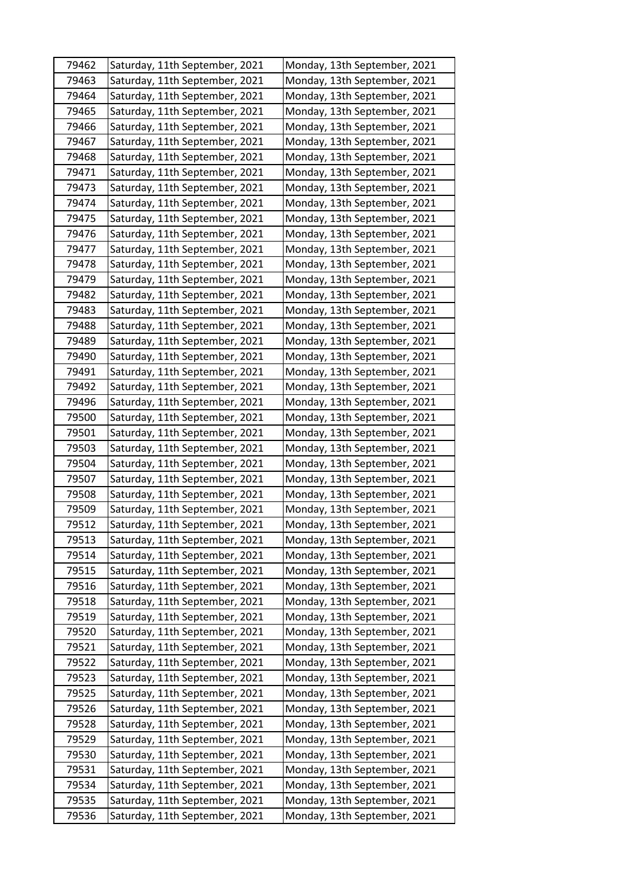| 79462 | Saturday, 11th September, 2021 | Monday, 13th September, 2021 |
|-------|--------------------------------|------------------------------|
| 79463 | Saturday, 11th September, 2021 | Monday, 13th September, 2021 |
| 79464 | Saturday, 11th September, 2021 | Monday, 13th September, 2021 |
| 79465 | Saturday, 11th September, 2021 | Monday, 13th September, 2021 |
| 79466 | Saturday, 11th September, 2021 | Monday, 13th September, 2021 |
| 79467 | Saturday, 11th September, 2021 | Monday, 13th September, 2021 |
| 79468 | Saturday, 11th September, 2021 | Monday, 13th September, 2021 |
| 79471 | Saturday, 11th September, 2021 | Monday, 13th September, 2021 |
| 79473 | Saturday, 11th September, 2021 | Monday, 13th September, 2021 |
| 79474 | Saturday, 11th September, 2021 | Monday, 13th September, 2021 |
| 79475 | Saturday, 11th September, 2021 | Monday, 13th September, 2021 |
| 79476 | Saturday, 11th September, 2021 | Monday, 13th September, 2021 |
| 79477 | Saturday, 11th September, 2021 | Monday, 13th September, 2021 |
| 79478 | Saturday, 11th September, 2021 | Monday, 13th September, 2021 |
| 79479 | Saturday, 11th September, 2021 | Monday, 13th September, 2021 |
| 79482 | Saturday, 11th September, 2021 | Monday, 13th September, 2021 |
| 79483 | Saturday, 11th September, 2021 | Monday, 13th September, 2021 |
| 79488 | Saturday, 11th September, 2021 | Monday, 13th September, 2021 |
| 79489 | Saturday, 11th September, 2021 | Monday, 13th September, 2021 |
| 79490 | Saturday, 11th September, 2021 | Monday, 13th September, 2021 |
| 79491 | Saturday, 11th September, 2021 | Monday, 13th September, 2021 |
| 79492 | Saturday, 11th September, 2021 | Monday, 13th September, 2021 |
| 79496 | Saturday, 11th September, 2021 | Monday, 13th September, 2021 |
| 79500 | Saturday, 11th September, 2021 | Monday, 13th September, 2021 |
| 79501 | Saturday, 11th September, 2021 | Monday, 13th September, 2021 |
| 79503 | Saturday, 11th September, 2021 | Monday, 13th September, 2021 |
| 79504 | Saturday, 11th September, 2021 | Monday, 13th September, 2021 |
| 79507 | Saturday, 11th September, 2021 | Monday, 13th September, 2021 |
| 79508 | Saturday, 11th September, 2021 | Monday, 13th September, 2021 |
| 79509 | Saturday, 11th September, 2021 | Monday, 13th September, 2021 |
| 79512 | Saturday, 11th September, 2021 | Monday, 13th September, 2021 |
| 79513 | Saturday, 11th September, 2021 | Monday, 13th September, 2021 |
| 79514 | Saturday, 11th September, 2021 | Monday, 13th September, 2021 |
| 79515 | Saturday, 11th September, 2021 | Monday, 13th September, 2021 |
| 79516 | Saturday, 11th September, 2021 | Monday, 13th September, 2021 |
| 79518 | Saturday, 11th September, 2021 | Monday, 13th September, 2021 |
| 79519 | Saturday, 11th September, 2021 | Monday, 13th September, 2021 |
| 79520 | Saturday, 11th September, 2021 | Monday, 13th September, 2021 |
| 79521 | Saturday, 11th September, 2021 | Monday, 13th September, 2021 |
| 79522 | Saturday, 11th September, 2021 | Monday, 13th September, 2021 |
| 79523 | Saturday, 11th September, 2021 | Monday, 13th September, 2021 |
| 79525 | Saturday, 11th September, 2021 | Monday, 13th September, 2021 |
| 79526 | Saturday, 11th September, 2021 | Monday, 13th September, 2021 |
| 79528 | Saturday, 11th September, 2021 | Monday, 13th September, 2021 |
| 79529 | Saturday, 11th September, 2021 | Monday, 13th September, 2021 |
| 79530 | Saturday, 11th September, 2021 | Monday, 13th September, 2021 |
| 79531 | Saturday, 11th September, 2021 | Monday, 13th September, 2021 |
| 79534 | Saturday, 11th September, 2021 | Monday, 13th September, 2021 |
| 79535 | Saturday, 11th September, 2021 | Monday, 13th September, 2021 |
| 79536 | Saturday, 11th September, 2021 | Monday, 13th September, 2021 |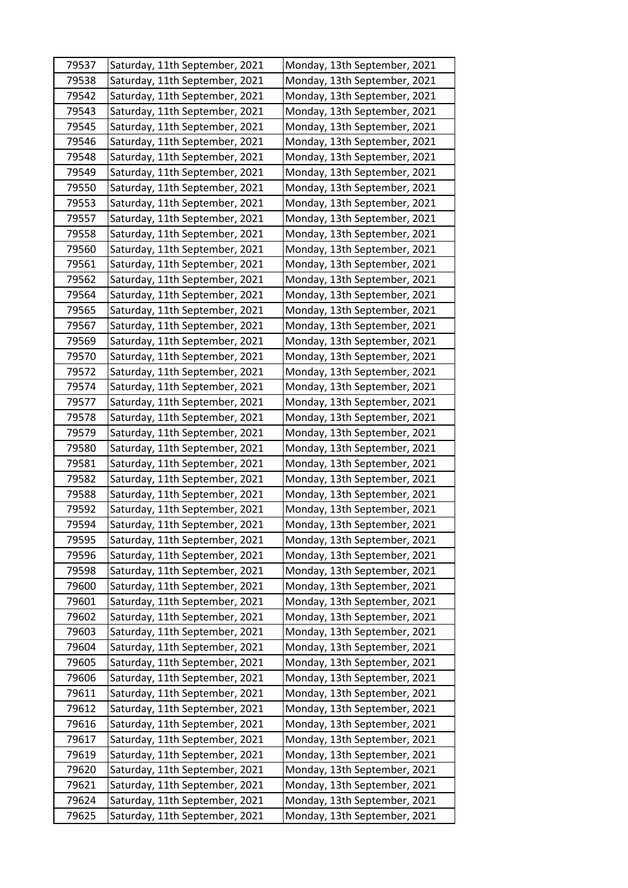| 79537 | Saturday, 11th September, 2021 | Monday, 13th September, 2021 |
|-------|--------------------------------|------------------------------|
| 79538 | Saturday, 11th September, 2021 | Monday, 13th September, 2021 |
| 79542 | Saturday, 11th September, 2021 | Monday, 13th September, 2021 |
| 79543 | Saturday, 11th September, 2021 | Monday, 13th September, 2021 |
| 79545 | Saturday, 11th September, 2021 | Monday, 13th September, 2021 |
| 79546 | Saturday, 11th September, 2021 | Monday, 13th September, 2021 |
| 79548 | Saturday, 11th September, 2021 | Monday, 13th September, 2021 |
| 79549 | Saturday, 11th September, 2021 | Monday, 13th September, 2021 |
| 79550 | Saturday, 11th September, 2021 | Monday, 13th September, 2021 |
| 79553 | Saturday, 11th September, 2021 | Monday, 13th September, 2021 |
| 79557 | Saturday, 11th September, 2021 | Monday, 13th September, 2021 |
| 79558 | Saturday, 11th September, 2021 | Monday, 13th September, 2021 |
| 79560 | Saturday, 11th September, 2021 | Monday, 13th September, 2021 |
| 79561 | Saturday, 11th September, 2021 | Monday, 13th September, 2021 |
| 79562 | Saturday, 11th September, 2021 | Monday, 13th September, 2021 |
| 79564 | Saturday, 11th September, 2021 | Monday, 13th September, 2021 |
| 79565 | Saturday, 11th September, 2021 | Monday, 13th September, 2021 |
| 79567 | Saturday, 11th September, 2021 | Monday, 13th September, 2021 |
| 79569 | Saturday, 11th September, 2021 | Monday, 13th September, 2021 |
| 79570 | Saturday, 11th September, 2021 | Monday, 13th September, 2021 |
| 79572 | Saturday, 11th September, 2021 | Monday, 13th September, 2021 |
| 79574 | Saturday, 11th September, 2021 | Monday, 13th September, 2021 |
| 79577 | Saturday, 11th September, 2021 | Monday, 13th September, 2021 |
| 79578 | Saturday, 11th September, 2021 | Monday, 13th September, 2021 |
| 79579 | Saturday, 11th September, 2021 | Monday, 13th September, 2021 |
| 79580 | Saturday, 11th September, 2021 | Monday, 13th September, 2021 |
| 79581 | Saturday, 11th September, 2021 | Monday, 13th September, 2021 |
| 79582 | Saturday, 11th September, 2021 | Monday, 13th September, 2021 |
| 79588 | Saturday, 11th September, 2021 | Monday, 13th September, 2021 |
| 79592 | Saturday, 11th September, 2021 | Monday, 13th September, 2021 |
| 79594 | Saturday, 11th September, 2021 | Monday, 13th September, 2021 |
| 79595 | Saturday, 11th September, 2021 | Monday, 13th September, 2021 |
| 79596 | Saturday, 11th September, 2021 | Monday, 13th September, 2021 |
| 79598 | Saturday, 11th September, 2021 | Monday, 13th September, 2021 |
| 79600 | Saturday, 11th September, 2021 | Monday, 13th September, 2021 |
| 79601 | Saturday, 11th September, 2021 | Monday, 13th September, 2021 |
| 79602 | Saturday, 11th September, 2021 | Monday, 13th September, 2021 |
| 79603 | Saturday, 11th September, 2021 | Monday, 13th September, 2021 |
| 79604 | Saturday, 11th September, 2021 | Monday, 13th September, 2021 |
| 79605 | Saturday, 11th September, 2021 | Monday, 13th September, 2021 |
| 79606 | Saturday, 11th September, 2021 | Monday, 13th September, 2021 |
| 79611 | Saturday, 11th September, 2021 | Monday, 13th September, 2021 |
| 79612 | Saturday, 11th September, 2021 | Monday, 13th September, 2021 |
| 79616 | Saturday, 11th September, 2021 | Monday, 13th September, 2021 |
| 79617 | Saturday, 11th September, 2021 | Monday, 13th September, 2021 |
| 79619 | Saturday, 11th September, 2021 | Monday, 13th September, 2021 |
| 79620 | Saturday, 11th September, 2021 | Monday, 13th September, 2021 |
| 79621 | Saturday, 11th September, 2021 | Monday, 13th September, 2021 |
| 79624 | Saturday, 11th September, 2021 | Monday, 13th September, 2021 |
| 79625 | Saturday, 11th September, 2021 | Monday, 13th September, 2021 |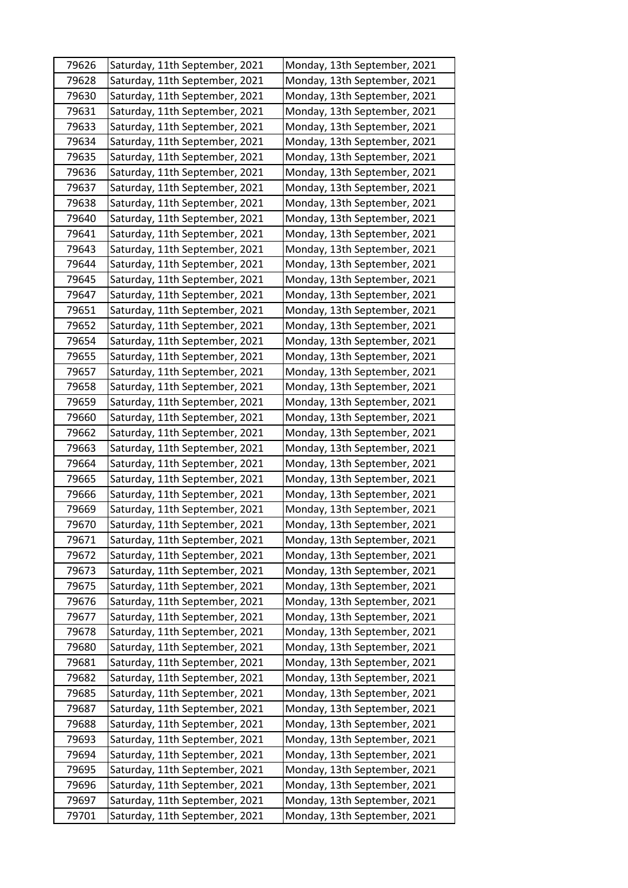| 79626 | Saturday, 11th September, 2021 | Monday, 13th September, 2021 |
|-------|--------------------------------|------------------------------|
| 79628 | Saturday, 11th September, 2021 | Monday, 13th September, 2021 |
| 79630 | Saturday, 11th September, 2021 | Monday, 13th September, 2021 |
| 79631 | Saturday, 11th September, 2021 | Monday, 13th September, 2021 |
| 79633 | Saturday, 11th September, 2021 | Monday, 13th September, 2021 |
| 79634 | Saturday, 11th September, 2021 | Monday, 13th September, 2021 |
| 79635 | Saturday, 11th September, 2021 | Monday, 13th September, 2021 |
| 79636 | Saturday, 11th September, 2021 | Monday, 13th September, 2021 |
| 79637 | Saturday, 11th September, 2021 | Monday, 13th September, 2021 |
| 79638 | Saturday, 11th September, 2021 | Monday, 13th September, 2021 |
| 79640 | Saturday, 11th September, 2021 | Monday, 13th September, 2021 |
| 79641 | Saturday, 11th September, 2021 | Monday, 13th September, 2021 |
| 79643 | Saturday, 11th September, 2021 | Monday, 13th September, 2021 |
| 79644 | Saturday, 11th September, 2021 | Monday, 13th September, 2021 |
| 79645 | Saturday, 11th September, 2021 | Monday, 13th September, 2021 |
| 79647 | Saturday, 11th September, 2021 | Monday, 13th September, 2021 |
| 79651 | Saturday, 11th September, 2021 | Monday, 13th September, 2021 |
| 79652 | Saturday, 11th September, 2021 | Monday, 13th September, 2021 |
| 79654 | Saturday, 11th September, 2021 | Monday, 13th September, 2021 |
| 79655 | Saturday, 11th September, 2021 | Monday, 13th September, 2021 |
| 79657 | Saturday, 11th September, 2021 | Monday, 13th September, 2021 |
| 79658 | Saturday, 11th September, 2021 | Monday, 13th September, 2021 |
| 79659 | Saturday, 11th September, 2021 | Monday, 13th September, 2021 |
| 79660 | Saturday, 11th September, 2021 | Monday, 13th September, 2021 |
| 79662 | Saturday, 11th September, 2021 | Monday, 13th September, 2021 |
| 79663 | Saturday, 11th September, 2021 | Monday, 13th September, 2021 |
| 79664 | Saturday, 11th September, 2021 | Monday, 13th September, 2021 |
| 79665 | Saturday, 11th September, 2021 | Monday, 13th September, 2021 |
| 79666 | Saturday, 11th September, 2021 | Monday, 13th September, 2021 |
| 79669 | Saturday, 11th September, 2021 | Monday, 13th September, 2021 |
| 79670 | Saturday, 11th September, 2021 | Monday, 13th September, 2021 |
| 79671 | Saturday, 11th September, 2021 | Monday, 13th September, 2021 |
| 79672 | Saturday, 11th September, 2021 | Monday, 13th September, 2021 |
| 79673 | Saturday, 11th September, 2021 | Monday, 13th September, 2021 |
| 79675 | Saturday, 11th September, 2021 | Monday, 13th September, 2021 |
| 79676 | Saturday, 11th September, 2021 | Monday, 13th September, 2021 |
| 79677 | Saturday, 11th September, 2021 | Monday, 13th September, 2021 |
| 79678 | Saturday, 11th September, 2021 | Monday, 13th September, 2021 |
| 79680 | Saturday, 11th September, 2021 | Monday, 13th September, 2021 |
| 79681 | Saturday, 11th September, 2021 | Monday, 13th September, 2021 |
| 79682 | Saturday, 11th September, 2021 | Monday, 13th September, 2021 |
| 79685 | Saturday, 11th September, 2021 | Monday, 13th September, 2021 |
| 79687 | Saturday, 11th September, 2021 | Monday, 13th September, 2021 |
| 79688 | Saturday, 11th September, 2021 | Monday, 13th September, 2021 |
| 79693 | Saturday, 11th September, 2021 | Monday, 13th September, 2021 |
| 79694 | Saturday, 11th September, 2021 | Monday, 13th September, 2021 |
| 79695 | Saturday, 11th September, 2021 | Monday, 13th September, 2021 |
| 79696 | Saturday, 11th September, 2021 | Monday, 13th September, 2021 |
| 79697 | Saturday, 11th September, 2021 | Monday, 13th September, 2021 |
| 79701 | Saturday, 11th September, 2021 | Monday, 13th September, 2021 |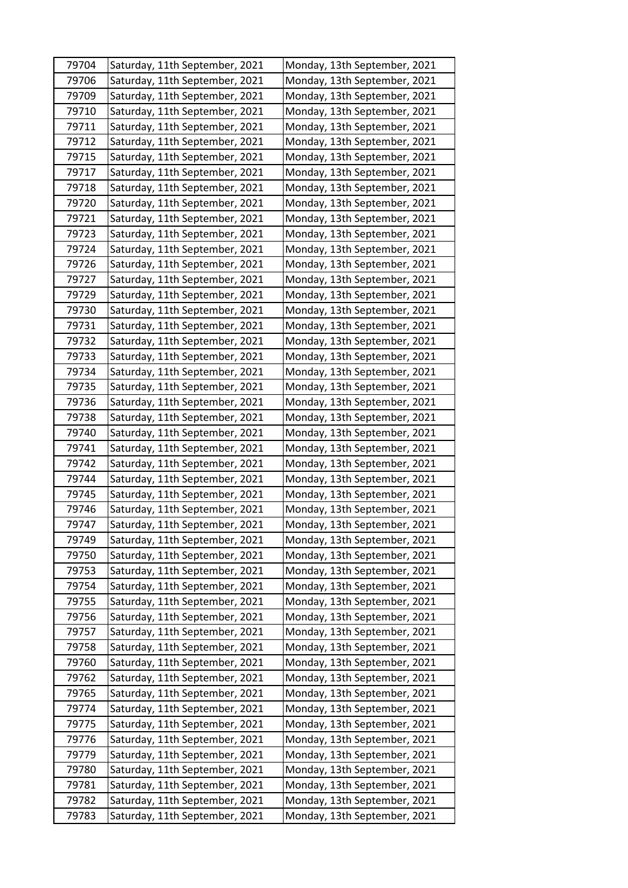| 79704 | Saturday, 11th September, 2021 | Monday, 13th September, 2021 |
|-------|--------------------------------|------------------------------|
| 79706 | Saturday, 11th September, 2021 | Monday, 13th September, 2021 |
| 79709 | Saturday, 11th September, 2021 | Monday, 13th September, 2021 |
| 79710 | Saturday, 11th September, 2021 | Monday, 13th September, 2021 |
| 79711 | Saturday, 11th September, 2021 | Monday, 13th September, 2021 |
| 79712 | Saturday, 11th September, 2021 | Monday, 13th September, 2021 |
| 79715 | Saturday, 11th September, 2021 | Monday, 13th September, 2021 |
| 79717 | Saturday, 11th September, 2021 | Monday, 13th September, 2021 |
| 79718 | Saturday, 11th September, 2021 | Monday, 13th September, 2021 |
| 79720 | Saturday, 11th September, 2021 | Monday, 13th September, 2021 |
| 79721 | Saturday, 11th September, 2021 | Monday, 13th September, 2021 |
| 79723 | Saturday, 11th September, 2021 | Monday, 13th September, 2021 |
| 79724 | Saturday, 11th September, 2021 | Monday, 13th September, 2021 |
| 79726 | Saturday, 11th September, 2021 | Monday, 13th September, 2021 |
| 79727 | Saturday, 11th September, 2021 | Monday, 13th September, 2021 |
| 79729 | Saturday, 11th September, 2021 | Monday, 13th September, 2021 |
| 79730 | Saturday, 11th September, 2021 | Monday, 13th September, 2021 |
| 79731 | Saturday, 11th September, 2021 | Monday, 13th September, 2021 |
| 79732 | Saturday, 11th September, 2021 | Monday, 13th September, 2021 |
| 79733 | Saturday, 11th September, 2021 | Monday, 13th September, 2021 |
| 79734 | Saturday, 11th September, 2021 | Monday, 13th September, 2021 |
| 79735 | Saturday, 11th September, 2021 | Monday, 13th September, 2021 |
| 79736 | Saturday, 11th September, 2021 | Monday, 13th September, 2021 |
| 79738 | Saturday, 11th September, 2021 | Monday, 13th September, 2021 |
| 79740 | Saturday, 11th September, 2021 | Monday, 13th September, 2021 |
| 79741 | Saturday, 11th September, 2021 | Monday, 13th September, 2021 |
| 79742 | Saturday, 11th September, 2021 | Monday, 13th September, 2021 |
| 79744 | Saturday, 11th September, 2021 | Monday, 13th September, 2021 |
| 79745 | Saturday, 11th September, 2021 | Monday, 13th September, 2021 |
| 79746 | Saturday, 11th September, 2021 | Monday, 13th September, 2021 |
| 79747 | Saturday, 11th September, 2021 | Monday, 13th September, 2021 |
| 79749 | Saturday, 11th September, 2021 | Monday, 13th September, 2021 |
| 79750 | Saturday, 11th September, 2021 | Monday, 13th September, 2021 |
| 79753 | Saturday, 11th September, 2021 | Monday, 13th September, 2021 |
| 79754 | Saturday, 11th September, 2021 | Monday, 13th September, 2021 |
| 79755 | Saturday, 11th September, 2021 | Monday, 13th September, 2021 |
| 79756 | Saturday, 11th September, 2021 | Monday, 13th September, 2021 |
| 79757 | Saturday, 11th September, 2021 | Monday, 13th September, 2021 |
| 79758 | Saturday, 11th September, 2021 | Monday, 13th September, 2021 |
| 79760 | Saturday, 11th September, 2021 | Monday, 13th September, 2021 |
| 79762 | Saturday, 11th September, 2021 | Monday, 13th September, 2021 |
| 79765 | Saturday, 11th September, 2021 | Monday, 13th September, 2021 |
| 79774 | Saturday, 11th September, 2021 | Monday, 13th September, 2021 |
| 79775 | Saturday, 11th September, 2021 | Monday, 13th September, 2021 |
| 79776 | Saturday, 11th September, 2021 | Monday, 13th September, 2021 |
| 79779 | Saturday, 11th September, 2021 | Monday, 13th September, 2021 |
| 79780 | Saturday, 11th September, 2021 | Monday, 13th September, 2021 |
| 79781 | Saturday, 11th September, 2021 | Monday, 13th September, 2021 |
| 79782 | Saturday, 11th September, 2021 | Monday, 13th September, 2021 |
| 79783 | Saturday, 11th September, 2021 | Monday, 13th September, 2021 |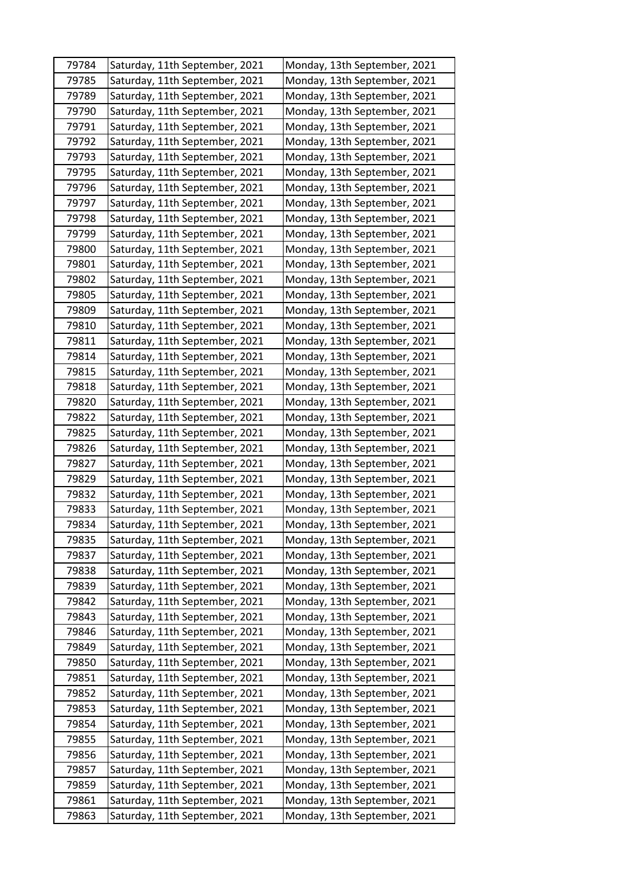| 79784          | Saturday, 11th September, 2021                                   | Monday, 13th September, 2021                                 |
|----------------|------------------------------------------------------------------|--------------------------------------------------------------|
| 79785          | Saturday, 11th September, 2021                                   | Monday, 13th September, 2021                                 |
| 79789          | Saturday, 11th September, 2021                                   | Monday, 13th September, 2021                                 |
| 79790          | Saturday, 11th September, 2021                                   | Monday, 13th September, 2021                                 |
| 79791          | Saturday, 11th September, 2021                                   | Monday, 13th September, 2021                                 |
| 79792          | Saturday, 11th September, 2021                                   | Monday, 13th September, 2021                                 |
| 79793          | Saturday, 11th September, 2021                                   | Monday, 13th September, 2021                                 |
| 79795          | Saturday, 11th September, 2021                                   | Monday, 13th September, 2021                                 |
| 79796          | Saturday, 11th September, 2021                                   | Monday, 13th September, 2021                                 |
| 79797          | Saturday, 11th September, 2021                                   | Monday, 13th September, 2021                                 |
| 79798          | Saturday, 11th September, 2021                                   | Monday, 13th September, 2021                                 |
| 79799          | Saturday, 11th September, 2021                                   | Monday, 13th September, 2021                                 |
| 79800          | Saturday, 11th September, 2021                                   | Monday, 13th September, 2021                                 |
| 79801          | Saturday, 11th September, 2021                                   | Monday, 13th September, 2021                                 |
| 79802          | Saturday, 11th September, 2021                                   | Monday, 13th September, 2021                                 |
| 79805          | Saturday, 11th September, 2021                                   | Monday, 13th September, 2021                                 |
| 79809          | Saturday, 11th September, 2021                                   | Monday, 13th September, 2021                                 |
| 79810          | Saturday, 11th September, 2021                                   | Monday, 13th September, 2021                                 |
| 79811          | Saturday, 11th September, 2021                                   | Monday, 13th September, 2021                                 |
| 79814          | Saturday, 11th September, 2021                                   | Monday, 13th September, 2021                                 |
| 79815          | Saturday, 11th September, 2021                                   | Monday, 13th September, 2021                                 |
| 79818          | Saturday, 11th September, 2021                                   | Monday, 13th September, 2021                                 |
| 79820          | Saturday, 11th September, 2021                                   | Monday, 13th September, 2021                                 |
| 79822          | Saturday, 11th September, 2021                                   | Monday, 13th September, 2021                                 |
| 79825          | Saturday, 11th September, 2021                                   | Monday, 13th September, 2021                                 |
| 79826          | Saturday, 11th September, 2021                                   | Monday, 13th September, 2021                                 |
| 79827          | Saturday, 11th September, 2021                                   | Monday, 13th September, 2021                                 |
| 79829          | Saturday, 11th September, 2021                                   | Monday, 13th September, 2021                                 |
| 79832          | Saturday, 11th September, 2021                                   | Monday, 13th September, 2021                                 |
| 79833          | Saturday, 11th September, 2021                                   | Monday, 13th September, 2021                                 |
| 79834          | Saturday, 11th September, 2021                                   | Monday, 13th September, 2021                                 |
| 79835          | Saturday, 11th September, 2021                                   | Monday, 13th September, 2021                                 |
| 79837          | Saturday, 11th September, 2021                                   | Monday, 13th September, 2021                                 |
| 79838          | Saturday, 11th September, 2021                                   | Monday, 13th September, 2021                                 |
| 79839          | Saturday, 11th September, 2021                                   | Monday, 13th September, 2021                                 |
| 79842          | Saturday, 11th September, 2021                                   | Monday, 13th September, 2021                                 |
| 79843          | Saturday, 11th September, 2021                                   | Monday, 13th September, 2021                                 |
| 79846          | Saturday, 11th September, 2021                                   | Monday, 13th September, 2021                                 |
| 79849          | Saturday, 11th September, 2021                                   | Monday, 13th September, 2021                                 |
| 79850          | Saturday, 11th September, 2021                                   | Monday, 13th September, 2021                                 |
| 79851          | Saturday, 11th September, 2021                                   | Monday, 13th September, 2021                                 |
| 79852          | Saturday, 11th September, 2021                                   | Monday, 13th September, 2021                                 |
| 79853<br>79854 | Saturday, 11th September, 2021<br>Saturday, 11th September, 2021 | Monday, 13th September, 2021<br>Monday, 13th September, 2021 |
|                |                                                                  |                                                              |
| 79855<br>79856 | Saturday, 11th September, 2021<br>Saturday, 11th September, 2021 | Monday, 13th September, 2021<br>Monday, 13th September, 2021 |
| 79857          | Saturday, 11th September, 2021                                   | Monday, 13th September, 2021                                 |
| 79859          | Saturday, 11th September, 2021                                   | Monday, 13th September, 2021                                 |
| 79861          | Saturday, 11th September, 2021                                   | Monday, 13th September, 2021                                 |
| 79863          | Saturday, 11th September, 2021                                   | Monday, 13th September, 2021                                 |
|                |                                                                  |                                                              |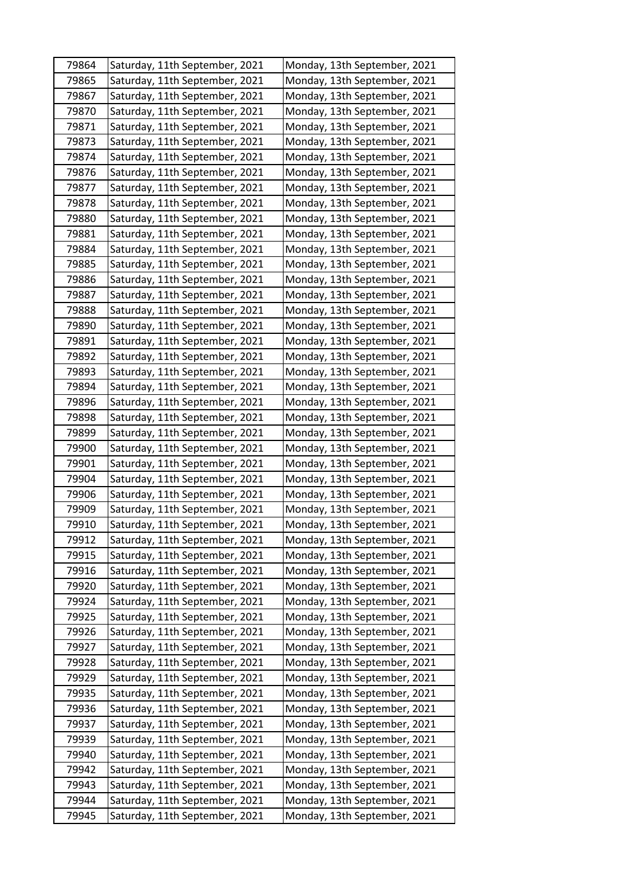| 79864 | Saturday, 11th September, 2021 | Monday, 13th September, 2021 |
|-------|--------------------------------|------------------------------|
| 79865 | Saturday, 11th September, 2021 | Monday, 13th September, 2021 |
| 79867 | Saturday, 11th September, 2021 | Monday, 13th September, 2021 |
| 79870 | Saturday, 11th September, 2021 | Monday, 13th September, 2021 |
| 79871 | Saturday, 11th September, 2021 | Monday, 13th September, 2021 |
| 79873 | Saturday, 11th September, 2021 | Monday, 13th September, 2021 |
| 79874 | Saturday, 11th September, 2021 | Monday, 13th September, 2021 |
| 79876 | Saturday, 11th September, 2021 | Monday, 13th September, 2021 |
| 79877 | Saturday, 11th September, 2021 | Monday, 13th September, 2021 |
| 79878 | Saturday, 11th September, 2021 | Monday, 13th September, 2021 |
| 79880 | Saturday, 11th September, 2021 | Monday, 13th September, 2021 |
| 79881 | Saturday, 11th September, 2021 | Monday, 13th September, 2021 |
| 79884 | Saturday, 11th September, 2021 | Monday, 13th September, 2021 |
| 79885 | Saturday, 11th September, 2021 | Monday, 13th September, 2021 |
| 79886 | Saturday, 11th September, 2021 | Monday, 13th September, 2021 |
| 79887 | Saturday, 11th September, 2021 | Monday, 13th September, 2021 |
| 79888 | Saturday, 11th September, 2021 | Monday, 13th September, 2021 |
| 79890 | Saturday, 11th September, 2021 | Monday, 13th September, 2021 |
| 79891 | Saturday, 11th September, 2021 | Monday, 13th September, 2021 |
| 79892 | Saturday, 11th September, 2021 | Monday, 13th September, 2021 |
| 79893 | Saturday, 11th September, 2021 | Monday, 13th September, 2021 |
| 79894 | Saturday, 11th September, 2021 | Monday, 13th September, 2021 |
| 79896 | Saturday, 11th September, 2021 | Monday, 13th September, 2021 |
| 79898 | Saturday, 11th September, 2021 | Monday, 13th September, 2021 |
| 79899 | Saturday, 11th September, 2021 | Monday, 13th September, 2021 |
| 79900 | Saturday, 11th September, 2021 | Monday, 13th September, 2021 |
| 79901 | Saturday, 11th September, 2021 | Monday, 13th September, 2021 |
| 79904 | Saturday, 11th September, 2021 | Monday, 13th September, 2021 |
| 79906 | Saturday, 11th September, 2021 | Monday, 13th September, 2021 |
| 79909 | Saturday, 11th September, 2021 | Monday, 13th September, 2021 |
| 79910 | Saturday, 11th September, 2021 | Monday, 13th September, 2021 |
| 79912 | Saturday, 11th September, 2021 | Monday, 13th September, 2021 |
| 79915 | Saturday, 11th September, 2021 | Monday, 13th September, 2021 |
| 79916 | Saturday, 11th September, 2021 | Monday, 13th September, 2021 |
| 79920 | Saturday, 11th September, 2021 | Monday, 13th September, 2021 |
| 79924 | Saturday, 11th September, 2021 | Monday, 13th September, 2021 |
| 79925 | Saturday, 11th September, 2021 | Monday, 13th September, 2021 |
| 79926 | Saturday, 11th September, 2021 | Monday, 13th September, 2021 |
| 79927 | Saturday, 11th September, 2021 | Monday, 13th September, 2021 |
| 79928 | Saturday, 11th September, 2021 | Monday, 13th September, 2021 |
| 79929 | Saturday, 11th September, 2021 | Monday, 13th September, 2021 |
| 79935 | Saturday, 11th September, 2021 | Monday, 13th September, 2021 |
| 79936 | Saturday, 11th September, 2021 | Monday, 13th September, 2021 |
| 79937 | Saturday, 11th September, 2021 | Monday, 13th September, 2021 |
| 79939 | Saturday, 11th September, 2021 | Monday, 13th September, 2021 |
| 79940 | Saturday, 11th September, 2021 | Monday, 13th September, 2021 |
| 79942 | Saturday, 11th September, 2021 | Monday, 13th September, 2021 |
| 79943 | Saturday, 11th September, 2021 | Monday, 13th September, 2021 |
| 79944 | Saturday, 11th September, 2021 | Monday, 13th September, 2021 |
| 79945 | Saturday, 11th September, 2021 | Monday, 13th September, 2021 |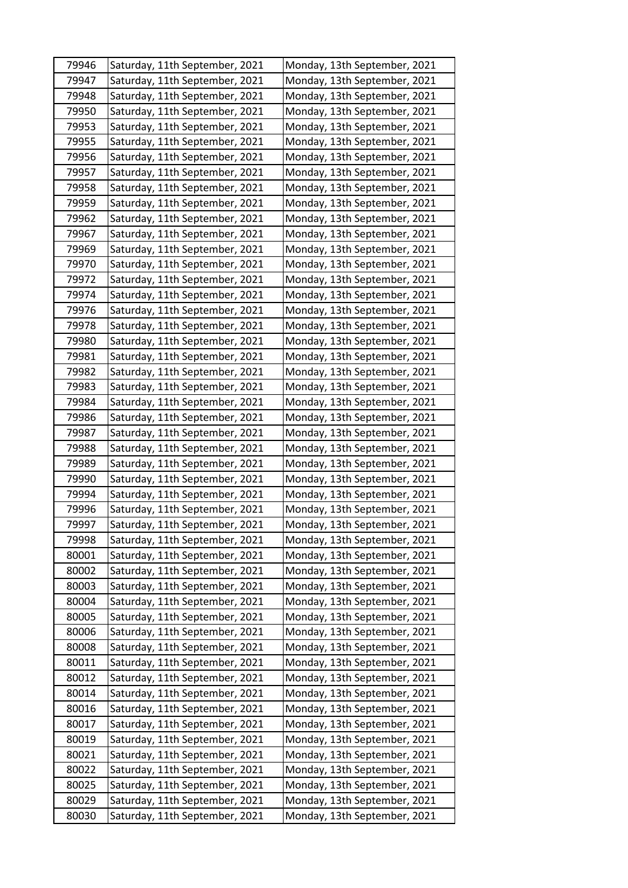| 79946 | Saturday, 11th September, 2021 | Monday, 13th September, 2021 |
|-------|--------------------------------|------------------------------|
| 79947 | Saturday, 11th September, 2021 | Monday, 13th September, 2021 |
| 79948 | Saturday, 11th September, 2021 | Monday, 13th September, 2021 |
| 79950 | Saturday, 11th September, 2021 | Monday, 13th September, 2021 |
| 79953 | Saturday, 11th September, 2021 | Monday, 13th September, 2021 |
| 79955 | Saturday, 11th September, 2021 | Monday, 13th September, 2021 |
| 79956 | Saturday, 11th September, 2021 | Monday, 13th September, 2021 |
| 79957 | Saturday, 11th September, 2021 | Monday, 13th September, 2021 |
| 79958 | Saturday, 11th September, 2021 | Monday, 13th September, 2021 |
| 79959 | Saturday, 11th September, 2021 | Monday, 13th September, 2021 |
| 79962 | Saturday, 11th September, 2021 | Monday, 13th September, 2021 |
| 79967 | Saturday, 11th September, 2021 | Monday, 13th September, 2021 |
| 79969 | Saturday, 11th September, 2021 | Monday, 13th September, 2021 |
| 79970 | Saturday, 11th September, 2021 | Monday, 13th September, 2021 |
| 79972 | Saturday, 11th September, 2021 | Monday, 13th September, 2021 |
| 79974 | Saturday, 11th September, 2021 | Monday, 13th September, 2021 |
| 79976 | Saturday, 11th September, 2021 | Monday, 13th September, 2021 |
| 79978 | Saturday, 11th September, 2021 | Monday, 13th September, 2021 |
| 79980 | Saturday, 11th September, 2021 | Monday, 13th September, 2021 |
| 79981 | Saturday, 11th September, 2021 | Monday, 13th September, 2021 |
| 79982 | Saturday, 11th September, 2021 | Monday, 13th September, 2021 |
| 79983 | Saturday, 11th September, 2021 | Monday, 13th September, 2021 |
| 79984 | Saturday, 11th September, 2021 | Monday, 13th September, 2021 |
| 79986 | Saturday, 11th September, 2021 | Monday, 13th September, 2021 |
| 79987 | Saturday, 11th September, 2021 | Monday, 13th September, 2021 |
| 79988 | Saturday, 11th September, 2021 | Monday, 13th September, 2021 |
| 79989 | Saturday, 11th September, 2021 | Monday, 13th September, 2021 |
| 79990 | Saturday, 11th September, 2021 | Monday, 13th September, 2021 |
| 79994 | Saturday, 11th September, 2021 | Monday, 13th September, 2021 |
| 79996 | Saturday, 11th September, 2021 | Monday, 13th September, 2021 |
| 79997 | Saturday, 11th September, 2021 | Monday, 13th September, 2021 |
| 79998 | Saturday, 11th September, 2021 | Monday, 13th September, 2021 |
| 80001 | Saturday, 11th September, 2021 | Monday, 13th September, 2021 |
| 80002 | Saturday, 11th September, 2021 | Monday, 13th September, 2021 |
| 80003 | Saturday, 11th September, 2021 | Monday, 13th September, 2021 |
| 80004 | Saturday, 11th September, 2021 | Monday, 13th September, 2021 |
| 80005 | Saturday, 11th September, 2021 | Monday, 13th September, 2021 |
| 80006 | Saturday, 11th September, 2021 | Monday, 13th September, 2021 |
| 80008 | Saturday, 11th September, 2021 | Monday, 13th September, 2021 |
| 80011 | Saturday, 11th September, 2021 | Monday, 13th September, 2021 |
| 80012 | Saturday, 11th September, 2021 | Monday, 13th September, 2021 |
| 80014 | Saturday, 11th September, 2021 | Monday, 13th September, 2021 |
| 80016 | Saturday, 11th September, 2021 | Monday, 13th September, 2021 |
| 80017 | Saturday, 11th September, 2021 | Monday, 13th September, 2021 |
| 80019 | Saturday, 11th September, 2021 | Monday, 13th September, 2021 |
| 80021 | Saturday, 11th September, 2021 | Monday, 13th September, 2021 |
| 80022 | Saturday, 11th September, 2021 | Monday, 13th September, 2021 |
| 80025 | Saturday, 11th September, 2021 | Monday, 13th September, 2021 |
| 80029 | Saturday, 11th September, 2021 | Monday, 13th September, 2021 |
| 80030 | Saturday, 11th September, 2021 | Monday, 13th September, 2021 |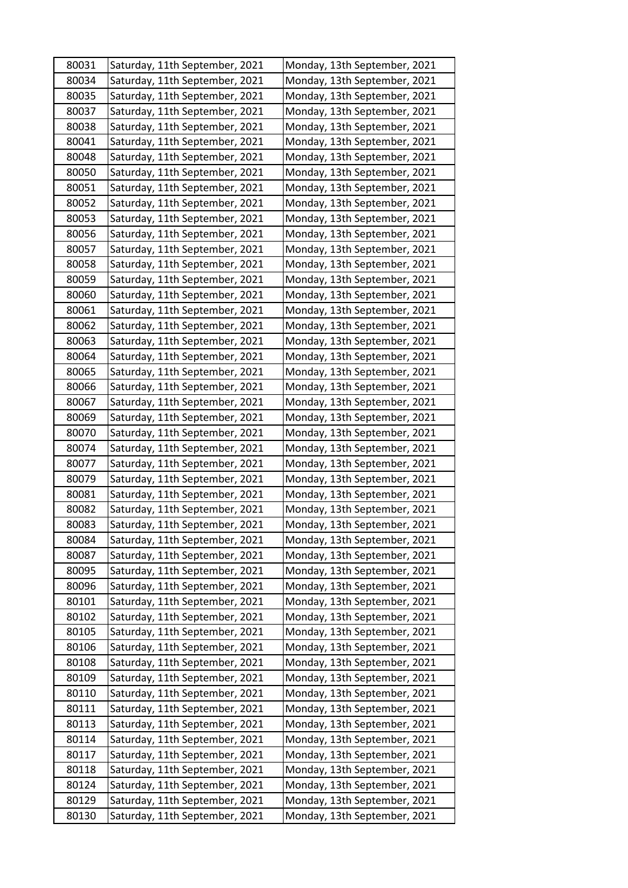| 80031 | Saturday, 11th September, 2021 | Monday, 13th September, 2021 |
|-------|--------------------------------|------------------------------|
| 80034 | Saturday, 11th September, 2021 | Monday, 13th September, 2021 |
| 80035 | Saturday, 11th September, 2021 | Monday, 13th September, 2021 |
| 80037 | Saturday, 11th September, 2021 | Monday, 13th September, 2021 |
| 80038 | Saturday, 11th September, 2021 | Monday, 13th September, 2021 |
| 80041 | Saturday, 11th September, 2021 | Monday, 13th September, 2021 |
| 80048 | Saturday, 11th September, 2021 | Monday, 13th September, 2021 |
| 80050 | Saturday, 11th September, 2021 | Monday, 13th September, 2021 |
| 80051 | Saturday, 11th September, 2021 | Monday, 13th September, 2021 |
| 80052 | Saturday, 11th September, 2021 | Monday, 13th September, 2021 |
| 80053 | Saturday, 11th September, 2021 | Monday, 13th September, 2021 |
| 80056 | Saturday, 11th September, 2021 | Monday, 13th September, 2021 |
| 80057 | Saturday, 11th September, 2021 | Monday, 13th September, 2021 |
| 80058 | Saturday, 11th September, 2021 | Monday, 13th September, 2021 |
| 80059 | Saturday, 11th September, 2021 | Monday, 13th September, 2021 |
| 80060 | Saturday, 11th September, 2021 | Monday, 13th September, 2021 |
| 80061 | Saturday, 11th September, 2021 | Monday, 13th September, 2021 |
| 80062 | Saturday, 11th September, 2021 | Monday, 13th September, 2021 |
| 80063 | Saturday, 11th September, 2021 | Monday, 13th September, 2021 |
| 80064 | Saturday, 11th September, 2021 | Monday, 13th September, 2021 |
| 80065 | Saturday, 11th September, 2021 | Monday, 13th September, 2021 |
| 80066 | Saturday, 11th September, 2021 | Monday, 13th September, 2021 |
| 80067 | Saturday, 11th September, 2021 | Monday, 13th September, 2021 |
| 80069 | Saturday, 11th September, 2021 | Monday, 13th September, 2021 |
| 80070 | Saturday, 11th September, 2021 | Monday, 13th September, 2021 |
| 80074 | Saturday, 11th September, 2021 | Monday, 13th September, 2021 |
| 80077 | Saturday, 11th September, 2021 | Monday, 13th September, 2021 |
| 80079 | Saturday, 11th September, 2021 | Monday, 13th September, 2021 |
| 80081 | Saturday, 11th September, 2021 | Monday, 13th September, 2021 |
| 80082 | Saturday, 11th September, 2021 | Monday, 13th September, 2021 |
| 80083 | Saturday, 11th September, 2021 | Monday, 13th September, 2021 |
| 80084 | Saturday, 11th September, 2021 | Monday, 13th September, 2021 |
| 80087 | Saturday, 11th September, 2021 | Monday, 13th September, 2021 |
| 80095 | Saturday, 11th September, 2021 | Monday, 13th September, 2021 |
| 80096 | Saturday, 11th September, 2021 | Monday, 13th September, 2021 |
| 80101 | Saturday, 11th September, 2021 | Monday, 13th September, 2021 |
| 80102 | Saturday, 11th September, 2021 | Monday, 13th September, 2021 |
| 80105 | Saturday, 11th September, 2021 | Monday, 13th September, 2021 |
| 80106 | Saturday, 11th September, 2021 | Monday, 13th September, 2021 |
| 80108 | Saturday, 11th September, 2021 | Monday, 13th September, 2021 |
| 80109 | Saturday, 11th September, 2021 | Monday, 13th September, 2021 |
| 80110 | Saturday, 11th September, 2021 | Monday, 13th September, 2021 |
| 80111 | Saturday, 11th September, 2021 | Monday, 13th September, 2021 |
| 80113 | Saturday, 11th September, 2021 | Monday, 13th September, 2021 |
| 80114 | Saturday, 11th September, 2021 | Monday, 13th September, 2021 |
| 80117 | Saturday, 11th September, 2021 | Monday, 13th September, 2021 |
| 80118 | Saturday, 11th September, 2021 | Monday, 13th September, 2021 |
| 80124 | Saturday, 11th September, 2021 | Monday, 13th September, 2021 |
| 80129 | Saturday, 11th September, 2021 | Monday, 13th September, 2021 |
| 80130 | Saturday, 11th September, 2021 | Monday, 13th September, 2021 |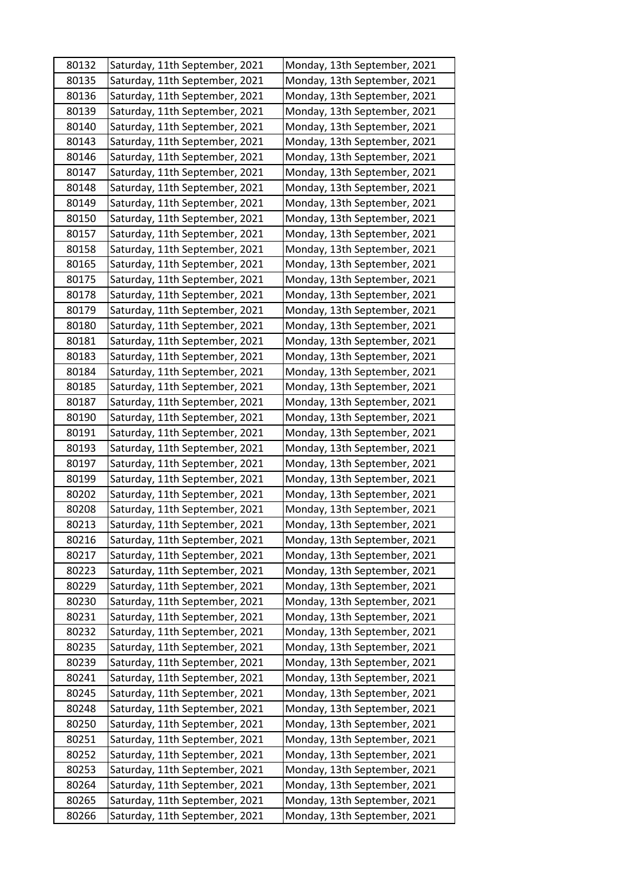| 80132 | Saturday, 11th September, 2021 | Monday, 13th September, 2021 |
|-------|--------------------------------|------------------------------|
| 80135 | Saturday, 11th September, 2021 | Monday, 13th September, 2021 |
| 80136 | Saturday, 11th September, 2021 | Monday, 13th September, 2021 |
| 80139 | Saturday, 11th September, 2021 | Monday, 13th September, 2021 |
| 80140 | Saturday, 11th September, 2021 | Monday, 13th September, 2021 |
| 80143 | Saturday, 11th September, 2021 | Monday, 13th September, 2021 |
| 80146 | Saturday, 11th September, 2021 | Monday, 13th September, 2021 |
| 80147 | Saturday, 11th September, 2021 | Monday, 13th September, 2021 |
| 80148 | Saturday, 11th September, 2021 | Monday, 13th September, 2021 |
| 80149 | Saturday, 11th September, 2021 | Monday, 13th September, 2021 |
| 80150 | Saturday, 11th September, 2021 | Monday, 13th September, 2021 |
| 80157 | Saturday, 11th September, 2021 | Monday, 13th September, 2021 |
| 80158 | Saturday, 11th September, 2021 | Monday, 13th September, 2021 |
| 80165 | Saturday, 11th September, 2021 | Monday, 13th September, 2021 |
| 80175 | Saturday, 11th September, 2021 | Monday, 13th September, 2021 |
| 80178 | Saturday, 11th September, 2021 | Monday, 13th September, 2021 |
| 80179 | Saturday, 11th September, 2021 | Monday, 13th September, 2021 |
| 80180 | Saturday, 11th September, 2021 | Monday, 13th September, 2021 |
| 80181 | Saturday, 11th September, 2021 | Monday, 13th September, 2021 |
| 80183 | Saturday, 11th September, 2021 | Monday, 13th September, 2021 |
| 80184 | Saturday, 11th September, 2021 | Monday, 13th September, 2021 |
| 80185 | Saturday, 11th September, 2021 | Monday, 13th September, 2021 |
| 80187 | Saturday, 11th September, 2021 | Monday, 13th September, 2021 |
| 80190 | Saturday, 11th September, 2021 | Monday, 13th September, 2021 |
| 80191 | Saturday, 11th September, 2021 | Monday, 13th September, 2021 |
| 80193 | Saturday, 11th September, 2021 | Monday, 13th September, 2021 |
| 80197 | Saturday, 11th September, 2021 | Monday, 13th September, 2021 |
| 80199 | Saturday, 11th September, 2021 | Monday, 13th September, 2021 |
| 80202 | Saturday, 11th September, 2021 | Monday, 13th September, 2021 |
| 80208 | Saturday, 11th September, 2021 | Monday, 13th September, 2021 |
| 80213 | Saturday, 11th September, 2021 | Monday, 13th September, 2021 |
| 80216 | Saturday, 11th September, 2021 | Monday, 13th September, 2021 |
| 80217 | Saturday, 11th September, 2021 | Monday, 13th September, 2021 |
| 80223 | Saturday, 11th September, 2021 | Monday, 13th September, 2021 |
| 80229 | Saturday, 11th September, 2021 | Monday, 13th September, 2021 |
| 80230 | Saturday, 11th September, 2021 | Monday, 13th September, 2021 |
| 80231 | Saturday, 11th September, 2021 | Monday, 13th September, 2021 |
| 80232 | Saturday, 11th September, 2021 | Monday, 13th September, 2021 |
| 80235 | Saturday, 11th September, 2021 | Monday, 13th September, 2021 |
| 80239 | Saturday, 11th September, 2021 | Monday, 13th September, 2021 |
| 80241 | Saturday, 11th September, 2021 | Monday, 13th September, 2021 |
| 80245 | Saturday, 11th September, 2021 | Monday, 13th September, 2021 |
| 80248 | Saturday, 11th September, 2021 | Monday, 13th September, 2021 |
| 80250 | Saturday, 11th September, 2021 | Monday, 13th September, 2021 |
| 80251 | Saturday, 11th September, 2021 | Monday, 13th September, 2021 |
| 80252 | Saturday, 11th September, 2021 | Monday, 13th September, 2021 |
| 80253 | Saturday, 11th September, 2021 | Monday, 13th September, 2021 |
| 80264 | Saturday, 11th September, 2021 | Monday, 13th September, 2021 |
| 80265 | Saturday, 11th September, 2021 | Monday, 13th September, 2021 |
| 80266 | Saturday, 11th September, 2021 | Monday, 13th September, 2021 |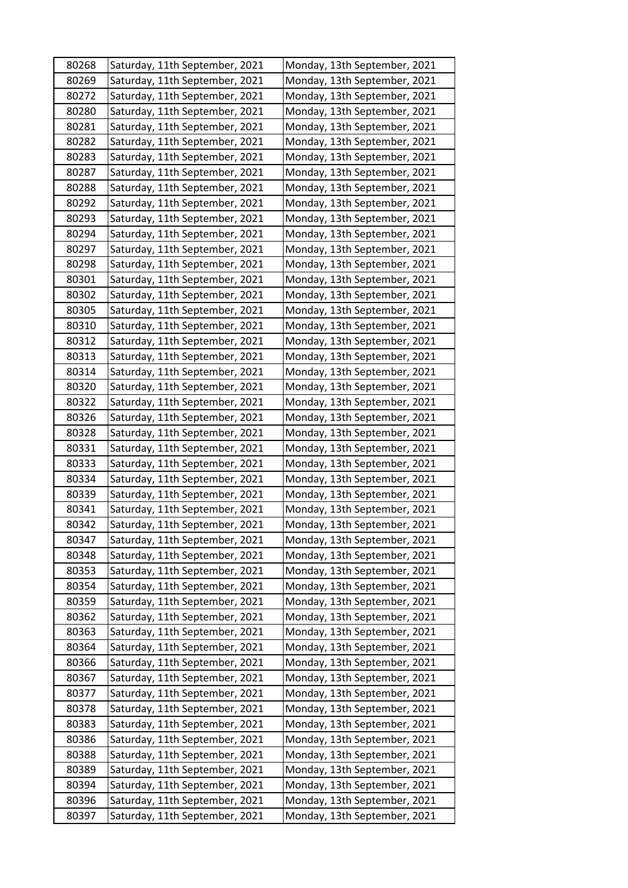| 80268 | Saturday, 11th September, 2021 | Monday, 13th September, 2021 |
|-------|--------------------------------|------------------------------|
| 80269 | Saturday, 11th September, 2021 | Monday, 13th September, 2021 |
| 80272 | Saturday, 11th September, 2021 | Monday, 13th September, 2021 |
| 80280 | Saturday, 11th September, 2021 | Monday, 13th September, 2021 |
| 80281 | Saturday, 11th September, 2021 | Monday, 13th September, 2021 |
| 80282 | Saturday, 11th September, 2021 | Monday, 13th September, 2021 |
| 80283 | Saturday, 11th September, 2021 | Monday, 13th September, 2021 |
| 80287 | Saturday, 11th September, 2021 | Monday, 13th September, 2021 |
| 80288 | Saturday, 11th September, 2021 | Monday, 13th September, 2021 |
| 80292 | Saturday, 11th September, 2021 | Monday, 13th September, 2021 |
| 80293 | Saturday, 11th September, 2021 | Monday, 13th September, 2021 |
| 80294 | Saturday, 11th September, 2021 | Monday, 13th September, 2021 |
| 80297 | Saturday, 11th September, 2021 | Monday, 13th September, 2021 |
| 80298 | Saturday, 11th September, 2021 | Monday, 13th September, 2021 |
| 80301 | Saturday, 11th September, 2021 | Monday, 13th September, 2021 |
| 80302 | Saturday, 11th September, 2021 | Monday, 13th September, 2021 |
| 80305 | Saturday, 11th September, 2021 | Monday, 13th September, 2021 |
| 80310 | Saturday, 11th September, 2021 | Monday, 13th September, 2021 |
| 80312 | Saturday, 11th September, 2021 | Monday, 13th September, 2021 |
| 80313 | Saturday, 11th September, 2021 | Monday, 13th September, 2021 |
| 80314 | Saturday, 11th September, 2021 | Monday, 13th September, 2021 |
| 80320 | Saturday, 11th September, 2021 | Monday, 13th September, 2021 |
| 80322 | Saturday, 11th September, 2021 | Monday, 13th September, 2021 |
| 80326 | Saturday, 11th September, 2021 | Monday, 13th September, 2021 |
| 80328 | Saturday, 11th September, 2021 | Monday, 13th September, 2021 |
| 80331 | Saturday, 11th September, 2021 | Monday, 13th September, 2021 |
| 80333 | Saturday, 11th September, 2021 | Monday, 13th September, 2021 |
| 80334 | Saturday, 11th September, 2021 | Monday, 13th September, 2021 |
| 80339 | Saturday, 11th September, 2021 | Monday, 13th September, 2021 |
| 80341 | Saturday, 11th September, 2021 | Monday, 13th September, 2021 |
| 80342 | Saturday, 11th September, 2021 | Monday, 13th September, 2021 |
| 80347 | Saturday, 11th September, 2021 | Monday, 13th September, 2021 |
| 80348 | Saturday, 11th September, 2021 | Monday, 13th September, 2021 |
| 80353 | Saturday, 11th September, 2021 | Monday, 13th September, 2021 |
| 80354 | Saturday, 11th September, 2021 | Monday, 13th September, 2021 |
| 80359 | Saturday, 11th September, 2021 | Monday, 13th September, 2021 |
| 80362 | Saturday, 11th September, 2021 | Monday, 13th September, 2021 |
| 80363 | Saturday, 11th September, 2021 | Monday, 13th September, 2021 |
| 80364 | Saturday, 11th September, 2021 | Monday, 13th September, 2021 |
| 80366 | Saturday, 11th September, 2021 | Monday, 13th September, 2021 |
| 80367 | Saturday, 11th September, 2021 | Monday, 13th September, 2021 |
| 80377 | Saturday, 11th September, 2021 | Monday, 13th September, 2021 |
| 80378 | Saturday, 11th September, 2021 | Monday, 13th September, 2021 |
| 80383 | Saturday, 11th September, 2021 | Monday, 13th September, 2021 |
| 80386 | Saturday, 11th September, 2021 | Monday, 13th September, 2021 |
| 80388 | Saturday, 11th September, 2021 | Monday, 13th September, 2021 |
| 80389 | Saturday, 11th September, 2021 | Monday, 13th September, 2021 |
| 80394 | Saturday, 11th September, 2021 | Monday, 13th September, 2021 |
| 80396 | Saturday, 11th September, 2021 | Monday, 13th September, 2021 |
| 80397 | Saturday, 11th September, 2021 | Monday, 13th September, 2021 |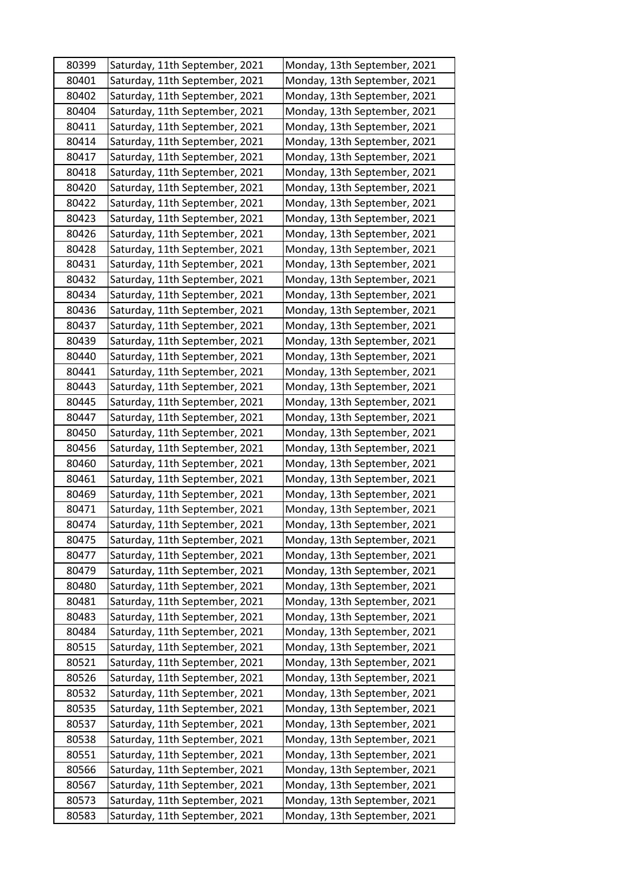| 80399 | Saturday, 11th September, 2021 | Monday, 13th September, 2021 |
|-------|--------------------------------|------------------------------|
| 80401 | Saturday, 11th September, 2021 | Monday, 13th September, 2021 |
| 80402 | Saturday, 11th September, 2021 | Monday, 13th September, 2021 |
| 80404 | Saturday, 11th September, 2021 | Monday, 13th September, 2021 |
| 80411 | Saturday, 11th September, 2021 | Monday, 13th September, 2021 |
| 80414 | Saturday, 11th September, 2021 | Monday, 13th September, 2021 |
| 80417 | Saturday, 11th September, 2021 | Monday, 13th September, 2021 |
| 80418 | Saturday, 11th September, 2021 | Monday, 13th September, 2021 |
| 80420 | Saturday, 11th September, 2021 | Monday, 13th September, 2021 |
| 80422 | Saturday, 11th September, 2021 | Monday, 13th September, 2021 |
| 80423 | Saturday, 11th September, 2021 | Monday, 13th September, 2021 |
| 80426 | Saturday, 11th September, 2021 | Monday, 13th September, 2021 |
| 80428 | Saturday, 11th September, 2021 | Monday, 13th September, 2021 |
| 80431 | Saturday, 11th September, 2021 | Monday, 13th September, 2021 |
| 80432 | Saturday, 11th September, 2021 | Monday, 13th September, 2021 |
| 80434 | Saturday, 11th September, 2021 | Monday, 13th September, 2021 |
| 80436 | Saturday, 11th September, 2021 | Monday, 13th September, 2021 |
| 80437 | Saturday, 11th September, 2021 | Monday, 13th September, 2021 |
| 80439 | Saturday, 11th September, 2021 | Monday, 13th September, 2021 |
| 80440 | Saturday, 11th September, 2021 | Monday, 13th September, 2021 |
| 80441 | Saturday, 11th September, 2021 | Monday, 13th September, 2021 |
| 80443 | Saturday, 11th September, 2021 | Monday, 13th September, 2021 |
| 80445 | Saturday, 11th September, 2021 | Monday, 13th September, 2021 |
| 80447 | Saturday, 11th September, 2021 | Monday, 13th September, 2021 |
| 80450 | Saturday, 11th September, 2021 | Monday, 13th September, 2021 |
| 80456 | Saturday, 11th September, 2021 | Monday, 13th September, 2021 |
| 80460 | Saturday, 11th September, 2021 | Monday, 13th September, 2021 |
| 80461 | Saturday, 11th September, 2021 | Monday, 13th September, 2021 |
| 80469 | Saturday, 11th September, 2021 | Monday, 13th September, 2021 |
| 80471 | Saturday, 11th September, 2021 | Monday, 13th September, 2021 |
| 80474 | Saturday, 11th September, 2021 | Monday, 13th September, 2021 |
| 80475 | Saturday, 11th September, 2021 | Monday, 13th September, 2021 |
| 80477 | Saturday, 11th September, 2021 | Monday, 13th September, 2021 |
| 80479 | Saturday, 11th September, 2021 | Monday, 13th September, 2021 |
| 80480 | Saturday, 11th September, 2021 | Monday, 13th September, 2021 |
| 80481 | Saturday, 11th September, 2021 | Monday, 13th September, 2021 |
| 80483 | Saturday, 11th September, 2021 | Monday, 13th September, 2021 |
| 80484 | Saturday, 11th September, 2021 | Monday, 13th September, 2021 |
| 80515 | Saturday, 11th September, 2021 | Monday, 13th September, 2021 |
| 80521 | Saturday, 11th September, 2021 | Monday, 13th September, 2021 |
| 80526 | Saturday, 11th September, 2021 | Monday, 13th September, 2021 |
| 80532 | Saturday, 11th September, 2021 | Monday, 13th September, 2021 |
| 80535 | Saturday, 11th September, 2021 | Monday, 13th September, 2021 |
| 80537 | Saturday, 11th September, 2021 | Monday, 13th September, 2021 |
| 80538 | Saturday, 11th September, 2021 | Monday, 13th September, 2021 |
| 80551 | Saturday, 11th September, 2021 | Monday, 13th September, 2021 |
| 80566 | Saturday, 11th September, 2021 | Monday, 13th September, 2021 |
| 80567 | Saturday, 11th September, 2021 | Monday, 13th September, 2021 |
| 80573 | Saturday, 11th September, 2021 | Monday, 13th September, 2021 |
| 80583 | Saturday, 11th September, 2021 | Monday, 13th September, 2021 |